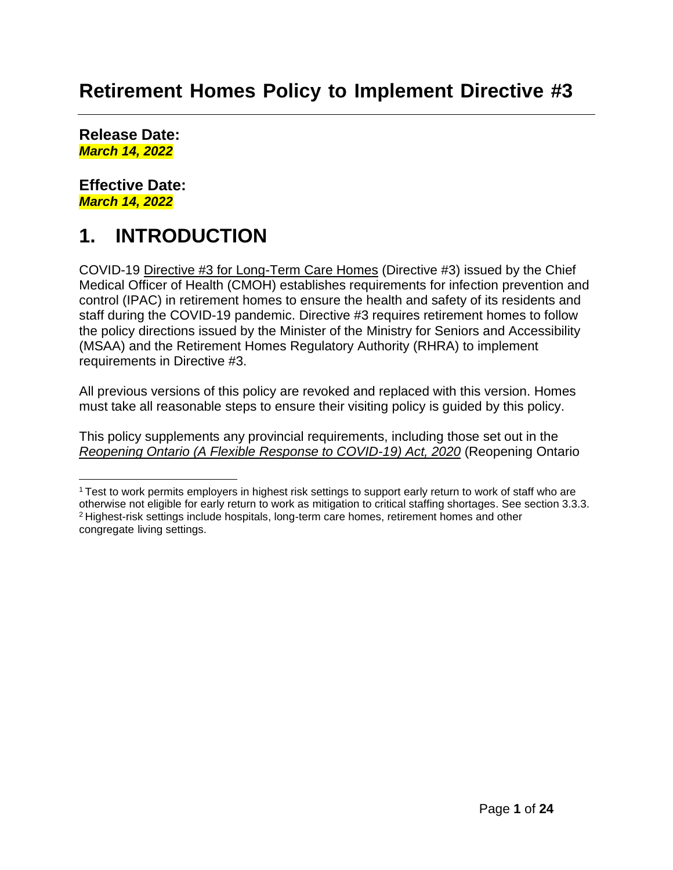## **Retirement Homes Policy to Implement Directive #3**

**Release Date:** *March 14, 2022*

#### **Effective Date:** *March 14, 2022*

## **1. INTRODUCTION**

COVID-19 [Directive #3 for Long-Term Care Homes](https://www.health.gov.on.ca/en/pro/programs/publichealth/coronavirus/docs/directives/LTCH_HPPA.pdf) (Directive #3) issued by the Chief Medical Officer of Health (CMOH) establishes requirements for infection prevention and control (IPAC) in retirement homes to ensure the health and safety of its residents and staff during the COVID-19 pandemic. Directive #3 requires retirement homes to follow the policy directions issued by the Minister of the Ministry for Seniors and Accessibility (MSAA) and the Retirement Homes Regulatory Authority (RHRA) to implement requirements in Directive #3.

All previous versions of this policy are revoked and replaced with this version. Homes must take all reasonable steps to ensure their visiting policy is guided by this policy.

This policy supplements any provincial requirements, including those set out in the *Reopening Ontario (A Flexible Response to [COVID-19\)](https://www.ontario.ca/laws/statute/20r17) Act, 2020* (Reopening Ontario

<sup>1</sup>Test to work permits employers in highest risk settings to support early return to work of staff who are otherwise not eligible for early return to work as mitigation to critical staffing shortages. See section 3.3.3. <sup>2</sup>Highest-risk settings include hospitals, long-term care homes, retirement homes and other congregate living settings.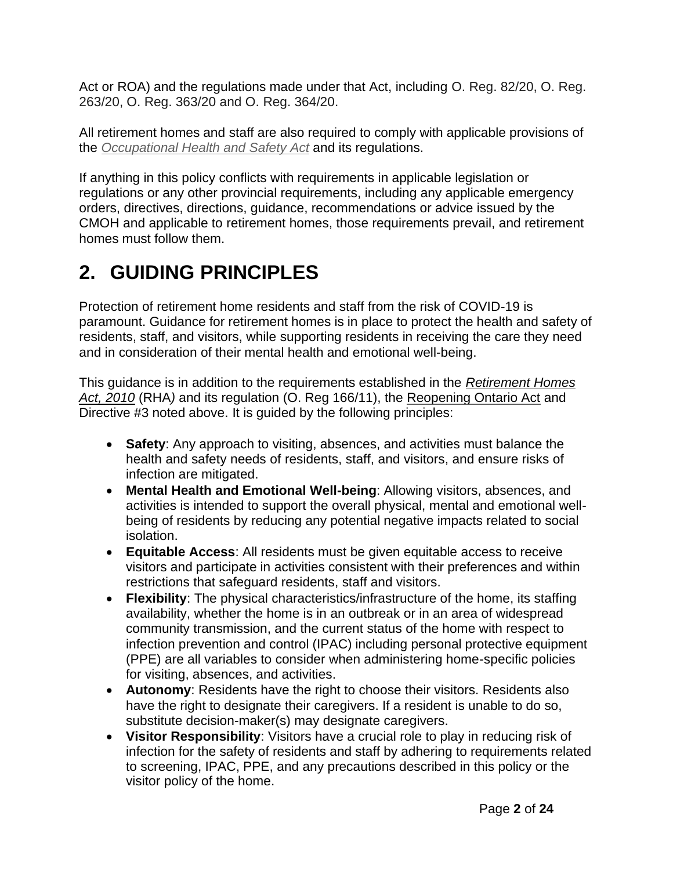Act or ROA) and the regulations made under that Act, including O. Reg. 82/20, O. Reg. 263/20, O. Reg. 363/20 and O. Reg. 364/20.

All retirement homes and staff are also required to comply with applicable provisions of the *[Occupational Health and](http://www.e-laws.gov.on.ca/html/statutes/english/elaws_statutes_90o01_e.htm) Safety Act* and its regulations.

If anything in this policy conflicts with requirements in applicable legislation or regulations or any other provincial requirements, including any applicable emergency orders, directives, directions, guidance, recommendations or advice issued by the CMOH and applicable to retirement homes, those requirements prevail, and retirement homes must follow them.

# **2. GUIDING PRINCIPLES**

Protection of retirement home residents and staff from the risk of COVID-19 is paramount. Guidance for retirement homes is in place to protect the health and safety of residents, staff, and visitors, while supporting residents in receiving the care they need and in consideration of their mental health and emotional well-being.

This guidance is in addition to the requirements established in the *[Retirement Homes](https://www.ontario.ca/laws/statute/10r11) [Act, 2010](https://www.ontario.ca/laws/statute/10r11)* (RHA*)* and its regulation (O. Reg 166/11), the [Reopening Ontario Act](https://www.ontario.ca/laws/statute/20r17) and Directive #3 noted above. It is guided by the following principles:

- **Safety**: Any approach to visiting, absences, and activities must balance the health and safety needs of residents, staff, and visitors, and ensure risks of infection are mitigated.
- **Mental Health and Emotional Well-being**: Allowing visitors, absences, and activities is intended to support the overall physical, mental and emotional wellbeing of residents by reducing any potential negative impacts related to social isolation.
- **Equitable Access**: All residents must be given equitable access to receive visitors and participate in activities consistent with their preferences and within restrictions that safeguard residents, staff and visitors.
- **Flexibility**: The physical characteristics/infrastructure of the home, its staffing availability, whether the home is in an outbreak or in an area of widespread community transmission, and the current status of the home with respect to infection prevention and control (IPAC) including personal protective equipment (PPE) are all variables to consider when administering home-specific policies for visiting, absences, and activities.
- **Autonomy**: Residents have the right to choose their visitors. Residents also have the right to designate their caregivers. If a resident is unable to do so, substitute decision-maker(s) may designate caregivers.
- **Visitor Responsibility**: Visitors have a crucial role to play in reducing risk of infection for the safety of residents and staff by adhering to requirements related to screening, IPAC, PPE, and any precautions described in this policy or the visitor policy of the home.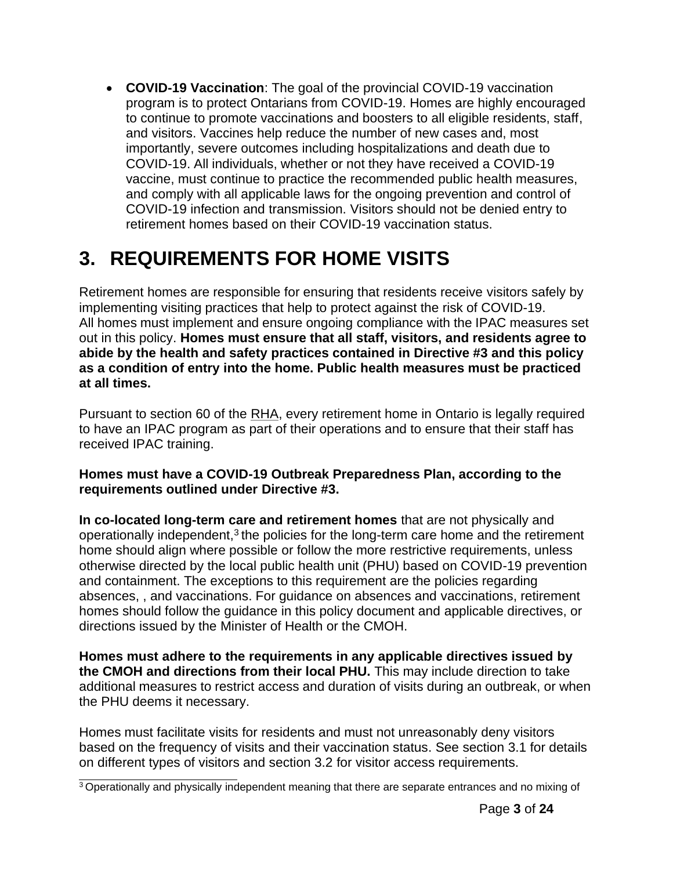• **COVID-19 Vaccination**: The goal of the provincial COVID-19 vaccination program is to protect Ontarians from COVID-19. Homes are highly encouraged to continue to promote vaccinations and boosters to all eligible residents, staff, and visitors. Vaccines help reduce the number of new cases and, most importantly, severe outcomes including hospitalizations and death due to COVID-19. All individuals, whether or not they have received a COVID-19 vaccine, must continue to practice the recommended public health measures, and comply with all applicable laws for the ongoing prevention and control of COVID-19 infection and transmission. Visitors should not be denied entry to retirement homes based on their COVID-19 vaccination status.

## **3. REQUIREMENTS FOR HOME VISITS**

Retirement homes are responsible for ensuring that residents receive visitors safely by implementing visiting practices that help to protect against the risk of COVID-19. All homes must implement and ensure ongoing compliance with the IPAC measures set out in this policy. **Homes must ensure that all staff, visitors, and residents agree to abide by the health and safety practices contained in Directive #3 and this policy as a condition of entry into the home. Public health measures must be practiced at all times.**

Pursuant to section 60 of the RHA, every retirement home in Ontario is legally required to have an IPAC program as part of their operations and to ensure that their staff has received IPAC training.

#### **Homes must have a COVID-19 Outbreak Preparedness Plan, according to the requirements outlined under Directive #3.**

**In co-located long-term care and retirement homes** that are not physically and operationally independent, $3$  the policies for the long-term care home and the retirement home should align where possible or follow the more restrictive requirements, unless otherwise directed by the local public health unit (PHU) based on COVID-19 prevention and containment. The exceptions to this requirement are the policies regarding absences, , and vaccinations. For guidance on absences and vaccinations, retirement homes should follow the guidance in this policy document and applicable directives, or directions issued by the Minister of Health or the CMOH.

**Homes must adhere to the requirements in any applicable directives issued by the CMOH and directions from their local PHU.** This may include direction to take additional measures to restrict access and duration of visits during an outbreak, or when the PHU deems it necessary.

Homes must facilitate visits for residents and must not unreasonably deny visitors based on the frequency of visits and their vaccination status. See section 3.1 for details on different types of visitors and section 3.2 for visitor access requirements.

<sup>&</sup>lt;sup>3</sup> Operationally and physically independent meaning that there are separate entrances and no mixing of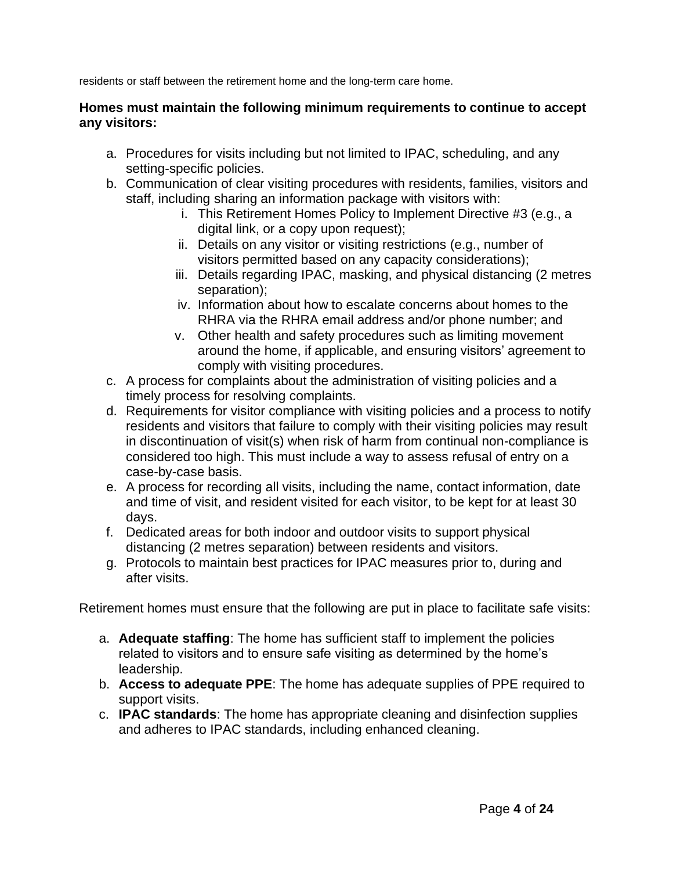residents or staff between the retirement home and the long-term care home.

#### **Homes must maintain the following minimum requirements to continue to accept any visitors:**

- a. Procedures for visits including but not limited to IPAC, scheduling, and any setting-specific policies.
- b. Communication of clear visiting procedures with residents, families, visitors and staff, including sharing an information package with visitors with:
	- i. This Retirement Homes Policy to Implement Directive #3 (e.g., a digital link, or a copy upon request);
	- ii. Details on any visitor or visiting restrictions (e.g., number of visitors permitted based on any capacity considerations);
	- iii. Details regarding IPAC, masking, and physical distancing (2 metres separation);
	- iv. Information about how to escalate concerns about homes to the RHRA via the RHRA email address and/or phone number; and
	- v. Other health and safety procedures such as limiting movement around the home, if applicable, and ensuring visitors' agreement to comply with visiting procedures.
- c. A process for complaints about the administration of visiting policies and a timely process for resolving complaints.
- d. Requirements for visitor compliance with visiting policies and a process to notify residents and visitors that failure to comply with their visiting policies may result in discontinuation of visit(s) when risk of harm from continual non-compliance is considered too high. This must include a way to assess refusal of entry on a case-by-case basis.
- e. A process for recording all visits, including the name, contact information, date and time of visit, and resident visited for each visitor, to be kept for at least 30 days.
- f. Dedicated areas for both indoor and outdoor visits to support physical distancing (2 metres separation) between residents and visitors.
- g. Protocols to maintain best practices for IPAC measures prior to, during and after visits.

Retirement homes must ensure that the following are put in place to facilitate safe visits:

- a. **Adequate staffing**: The home has sufficient staff to implement the policies related to visitors and to ensure safe visiting as determined by the home's leadership.
- b. **Access to adequate PPE**: The home has adequate supplies of PPE required to support visits.
- c. **IPAC standards**: The home has appropriate cleaning and disinfection supplies and adheres to IPAC standards, including enhanced cleaning.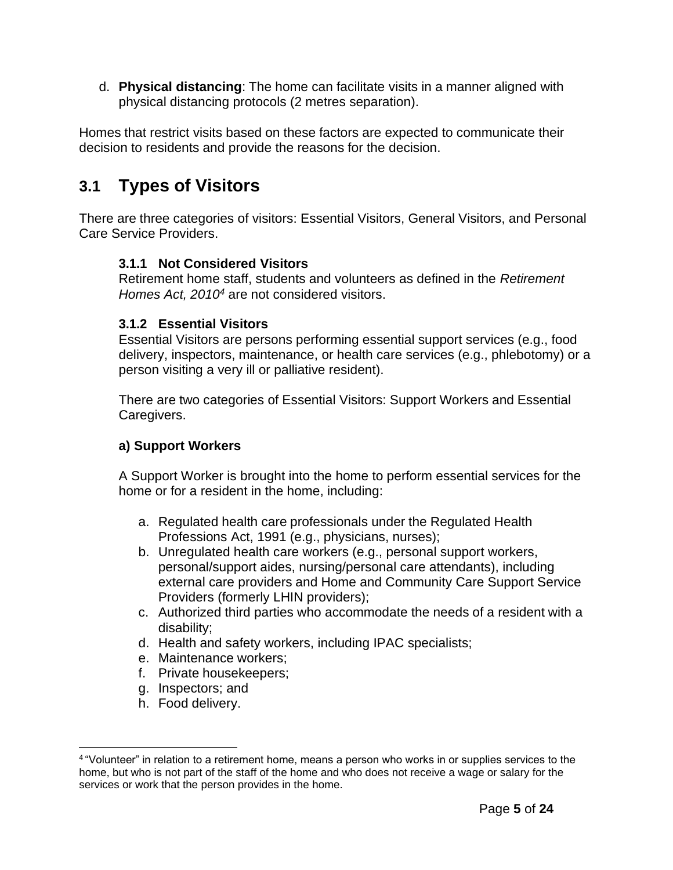d. **Physical distancing**: The home can facilitate visits in a manner aligned with physical distancing protocols (2 metres separation).

Homes that restrict visits based on these factors are expected to communicate their decision to residents and provide the reasons for the decision.

## **3.1 Types of Visitors**

There are three categories of visitors: Essential Visitors, General Visitors, and Personal Care Service Providers.

#### **3.1.1 Not Considered Visitors**

Retirement home staff, students and volunteers as defined in the *Retirement Homes Act, 2010<sup>4</sup>* are not considered visitors.

#### **3.1.2 Essential Visitors**

Essential Visitors are persons performing essential support services (e.g., food delivery, inspectors, maintenance, or health care services (e.g., phlebotomy) or a person visiting a very ill or palliative resident).

There are two categories of Essential Visitors: Support Workers and Essential Caregivers.

#### **a) Support Workers**

A Support Worker is brought into the home to perform essential services for the home or for a resident in the home, including:

- a. Regulated health care professionals under the Regulated Health Professions Act, 1991 (e.g., physicians, nurses);
- b. Unregulated health care workers (e.g., personal support workers, personal/support aides, nursing/personal care attendants), including external care providers and Home and Community Care Support Service Providers (formerly LHIN providers);
- c. Authorized third parties who accommodate the needs of a resident with a disability;
- d. Health and safety workers, including IPAC specialists;
- e. Maintenance workers;
- f. Private housekeepers;
- g. Inspectors; and
- h. Food delivery.

<sup>4</sup>"Volunteer" in relation to a retirement home, means a person who works in or supplies services to the home, but who is not part of the staff of the home and who does not receive a wage or salary for the services or work that the person provides in the home.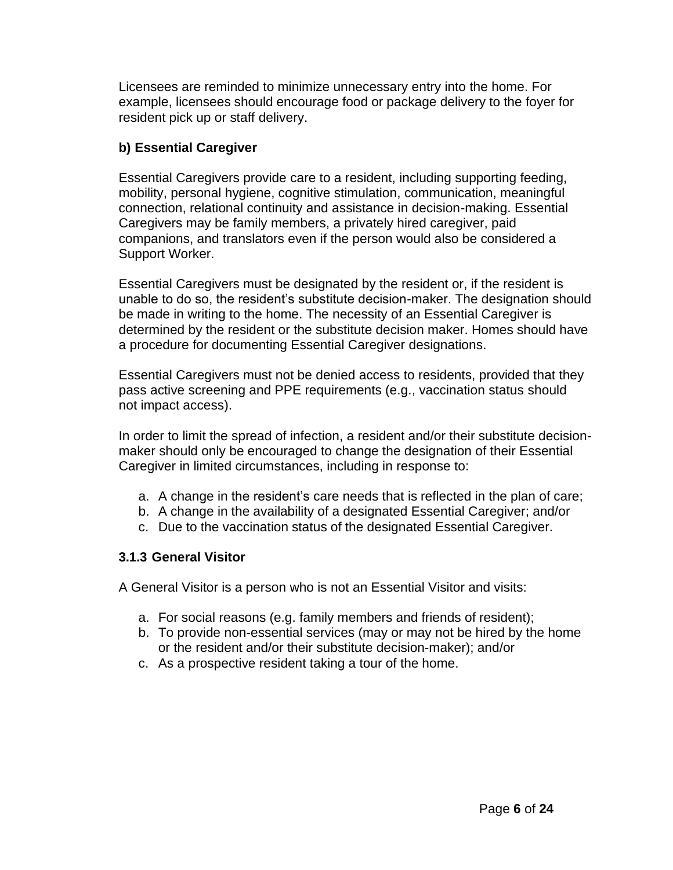Licensees are reminded to minimize unnecessary entry into the home. For example, licensees should encourage food or package delivery to the foyer for resident pick up or staff delivery.

#### **b) Essential Caregiver**

Essential Caregivers provide care to a resident, including supporting feeding, mobility, personal hygiene, cognitive stimulation, communication, meaningful connection, relational continuity and assistance in decision-making. Essential Caregivers may be family members, a privately hired caregiver, paid companions, and translators even if the person would also be considered a Support Worker.

Essential Caregivers must be designated by the resident or, if the resident is unable to do so, the resident's substitute decision-maker. The designation should be made in writing to the home. The necessity of an Essential Caregiver is determined by the resident or the substitute decision maker. Homes should have a procedure for documenting Essential Caregiver designations.

Essential Caregivers must not be denied access to residents, provided that they pass active screening and PPE requirements (e.g., vaccination status should not impact access).

In order to limit the spread of infection, a resident and/or their substitute decisionmaker should only be encouraged to change the designation of their Essential Caregiver in limited circumstances, including in response to:

- a. A change in the resident's care needs that is reflected in the plan of care;
- b. A change in the availability of a designated Essential Caregiver; and/or
- c. Due to the vaccination status of the designated Essential Caregiver.

#### **3.1.3 General Visitor**

A General Visitor is a person who is not an Essential Visitor and visits:

- a. For social reasons (e.g. family members and friends of resident);
- b. To provide non-essential services (may or may not be hired by the home or the resident and/or their substitute decision-maker); and/or
- c. As a prospective resident taking a tour of the home.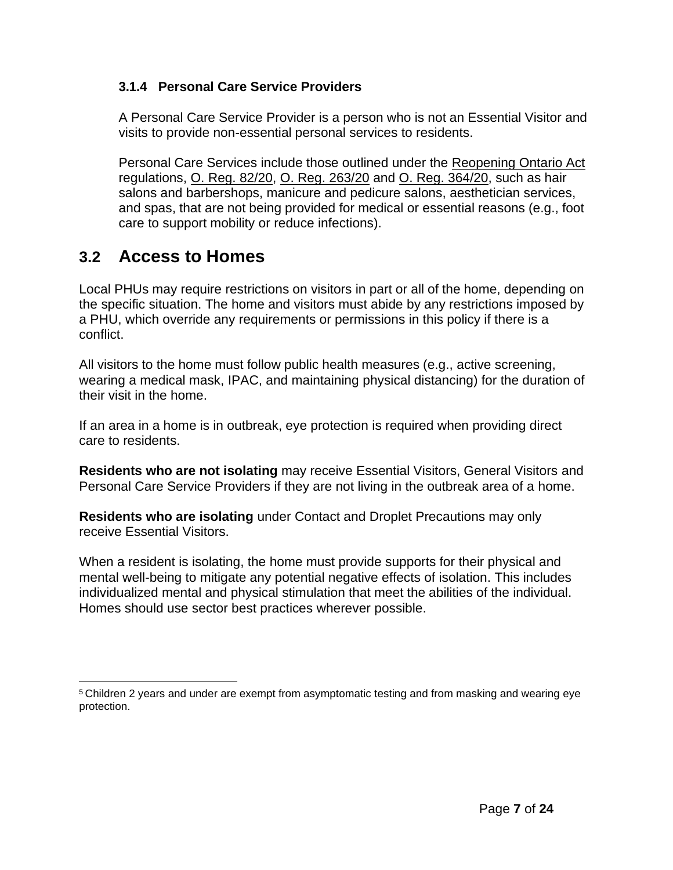#### **3.1.4 Personal Care Service Providers**

A Personal Care Service Provider is a person who is not an Essential Visitor and visits to provide non-essential personal services to residents.

Personal Care Services include those outlined under the [Reopening Ontario Act](https://www.ontario.ca/laws/statute/20r17) regulations, [O. Reg. 82/20,](https://www.ontario.ca/laws/regulation/200082) [O. Reg. 263/20](https://www.ontario.ca/laws/regulation/200263) and [O. Reg. 364/20,](https://www.ontario.ca/laws/regulation/200364) such as hair salons and barbershops, manicure and pedicure salons, aesthetician services, and spas, that are not being provided for medical or essential reasons (e.g., foot care to support mobility or reduce infections).

### **3.2 Access to Homes**

Local PHUs may require restrictions on visitors in part or all of the home, depending on the specific situation. The home and visitors must abide by any restrictions imposed by a PHU, which override any requirements or permissions in this policy if there is a conflict.

All visitors to the home must follow public health measures (e.g., active screening, wearing a medical mask, IPAC, and maintaining physical distancing) for the duration of their visit in the home.

If an area in a home is in outbreak, eye protection is required when providing direct care to residents.

**Residents who are not isolating** may receive Essential Visitors, General Visitors and Personal Care Service Providers if they are not living in the outbreak area of a home.

**Residents who are isolating** under Contact and Droplet Precautions may only receive Essential Visitors.

When a resident is isolating, the home must provide supports for their physical and mental well-being to mitigate any potential negative effects of isolation. This includes individualized mental and physical stimulation that meet the abilities of the individual. Homes should use sector best practices wherever possible.

<sup>5</sup>Children 2 years and under are exempt from asymptomatic testing and from masking and wearing eye protection.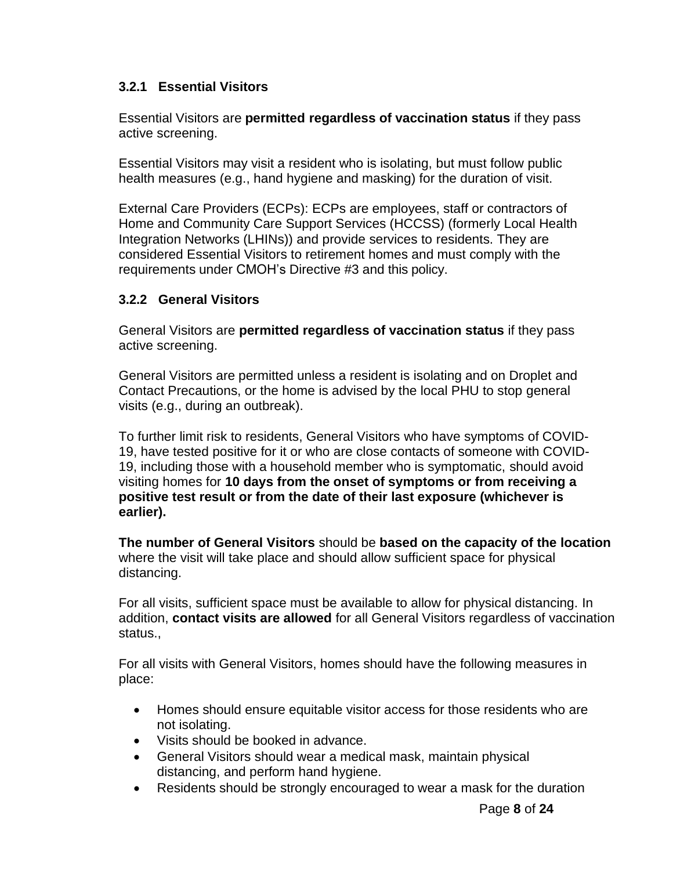#### **3.2.1 Essential Visitors**

Essential Visitors are **permitted regardless of vaccination status** if they pass active screening.

Essential Visitors may visit a resident who is isolating, but must follow public health measures (e.g., hand hygiene and masking) for the duration of visit.

External Care Providers (ECPs): ECPs are employees, staff or contractors of Home and Community Care Support Services (HCCSS) (formerly Local Health Integration Networks (LHINs)) and provide services to residents. They are considered Essential Visitors to retirement homes and must comply with the requirements under CMOH's Directive #3 and this policy.

#### **3.2.2 General Visitors**

General Visitors are **permitted regardless of vaccination status** if they pass active screening.

General Visitors are permitted unless a resident is isolating and on Droplet and Contact Precautions, or the home is advised by the local PHU to stop general visits (e.g., during an outbreak).

To further limit risk to residents, General Visitors who have symptoms of COVID-19, have tested positive for it or who are close contacts of someone with COVID-19, including those with a household member who is symptomatic, should avoid visiting homes for **10 days from the onset of symptoms or from receiving a positive test result or from the date of their last exposure (whichever is earlier).**

**The number of General Visitors** should be **based on the capacity of the location** where the visit will take place and should allow sufficient space for physical distancing.

For all visits, sufficient space must be available to allow for physical distancing. In addition, **contact visits are allowed** for all General Visitors regardless of vaccination status.,

For all visits with General Visitors, homes should have the following measures in place:

- Homes should ensure equitable visitor access for those residents who are not isolating.
- Visits should be booked in advance.
- General Visitors should wear a medical mask, maintain physical distancing, and perform hand hygiene.
- Residents should be strongly encouraged to wear a mask for the duration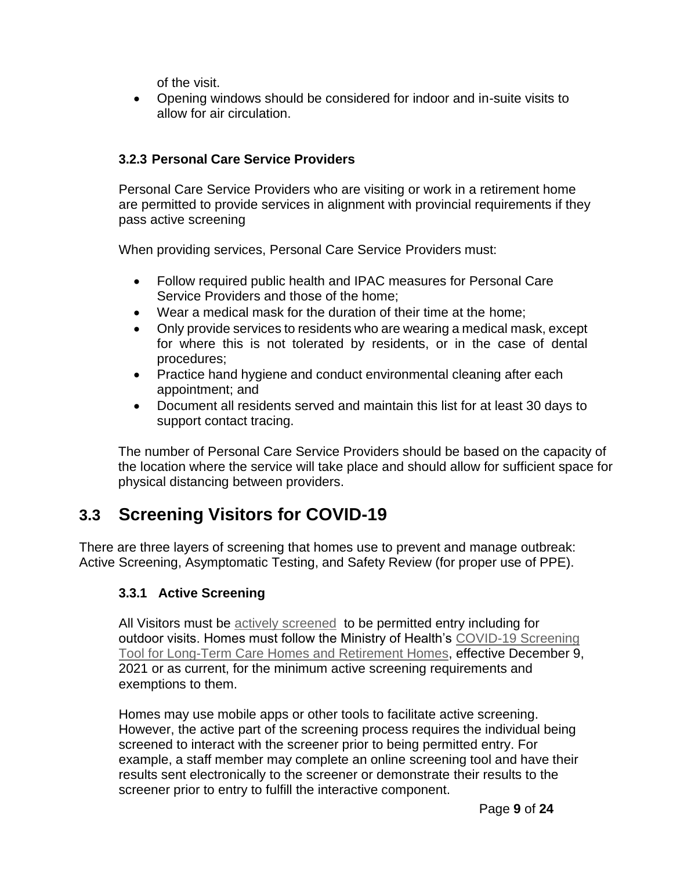of the visit.

• Opening windows should be considered for indoor and in-suite visits to allow for air circulation.

#### **3.2.3 Personal Care Service Providers**

Personal Care Service Providers who are visiting or work in a retirement home are permitted to provide services in alignment with provincial requirements if they pass active screening

When providing services, Personal Care Service Providers must:

- Follow required public health and IPAC measures for Personal Care Service Providers and those of the home;
- Wear a medical mask for the duration of their time at the home;
- Only provide services to residents who are wearing a medical mask, except for where this is not tolerated by residents, or in the case of dental procedures;
- Practice hand hygiene and conduct environmental cleaning after each appointment; and
- Document all residents served and maintain this list for at least 30 days to support contact tracing.

The number of Personal Care Service Providers should be based on the capacity of the location where the service will take place and should allow for sufficient space for physical distancing between providers.

## **3.3 Screening Visitors for COVID-19**

There are three layers of screening that homes use to prevent and manage outbreak: Active Screening, Asymptomatic Testing, and Safety Review (for proper use of PPE).

#### **3.3.1 Active Screening**

All Visitors must be [actively screened](https://www.health.gov.on.ca/en/pro/programs/publichealth/coronavirus/docs/2019_screening_guidance.pdf) to be permitted entry including for outdoor visits. Homes must follow the Ministry of Health's [COVID-19 Screening](http://www.health.gov.on.ca/en/pro/programs/publichealth/coronavirus/docs/2019_screening_guidance.pdf) [Tool for Long-Term Care Homes and Retirement Homes,](http://www.health.gov.on.ca/en/pro/programs/publichealth/coronavirus/docs/2019_screening_guidance.pdf) effective December 9, 2021 or as current, for the minimum active screening requirements and exemptions to them.

Homes may use mobile apps or other tools to facilitate active screening. However, the active part of the screening process requires the individual being screened to interact with the screener prior to being permitted entry. For example, a staff member may complete an online screening tool and have their results sent electronically to the screener or demonstrate their results to the screener prior to entry to fulfill the interactive component.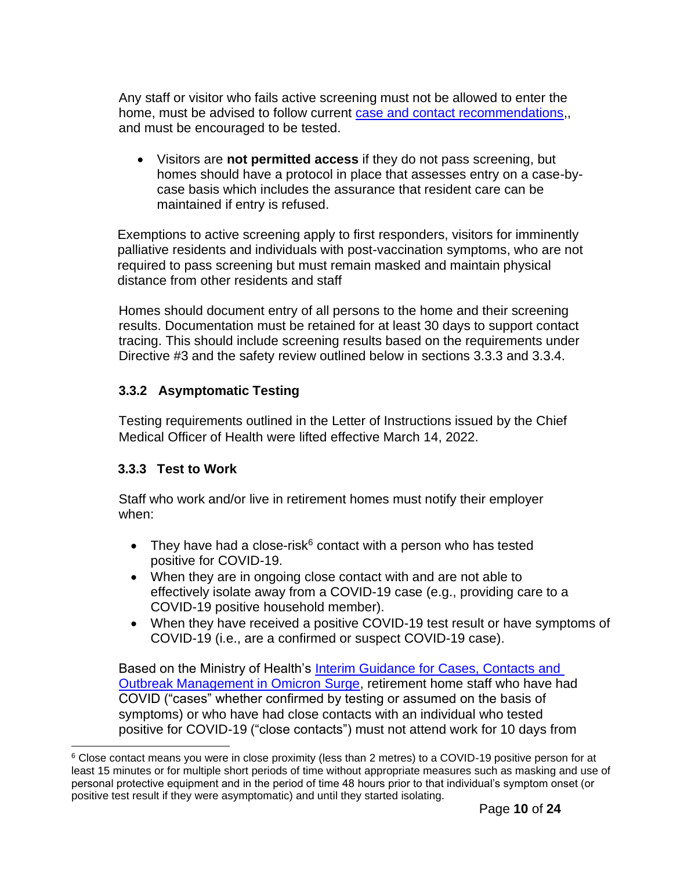Any staff or visitor who fails active screening must not be allowed to enter the home, must be advised to follow current [case and contact recommendations,](https://www.health.gov.on.ca/en/pro/programs/publichealth/coronavirus/docs/contact_mngmt/management_cases_contacts_omicron.pdf), and must be encouraged to be tested.

• Visitors are **not permitted access** if they do not pass screening, but homes should have a protocol in place that assesses entry on a case-bycase basis which includes the assurance that resident care can be maintained if entry is refused.

Exemptions to active screening apply to first responders, visitors for imminently palliative residents and individuals with post-vaccination symptoms, who are not required to pass screening but must remain masked and maintain physical distance from other residents and staff

Homes should document entry of all persons to the home and their screening results. Documentation must be retained for at least 30 days to support contact tracing. This should include screening results based on the requirements under Directive #3 and the safety review outlined below in sections 3.3.3 and 3.3.4.

#### **3.3.2 Asymptomatic Testing**

Testing requirements outlined in the Letter of Instructions issued by the Chief Medical Officer of Health were lifted effective March 14, 2022.

#### **3.3.3 Test to Work**

Staff who work and/or live in retirement homes must notify their employer when:

- They have had a close-risk $6$  contact with a person who has tested positive for COVID-19.
- When they are in ongoing close contact with and are not able to effectively isolate away from a COVID-19 case (e.g., providing care to a COVID-19 positive household member).
- When they have received a positive COVID-19 test result or have symptoms of COVID-19 (i.e., are a confirmed or suspect COVID-19 case).

Based on the Ministry of Health's [Interim Guidance for Cases, Contacts and](https://www.health.gov.on.ca/en/pro/programs/publichealth/coronavirus/docs/contact_mngmt/management_cases_contacts_omicron.pdf)  [Outbreak Management in Omicron Surge,](https://www.health.gov.on.ca/en/pro/programs/publichealth/coronavirus/docs/contact_mngmt/management_cases_contacts_omicron.pdf) retirement home staff who have had COVID ("cases" whether confirmed by testing or assumed on the basis of symptoms) or who have had close contacts with an individual who tested positive for COVID-19 ("close contacts") must not attend work for 10 days from

<sup>6</sup> Close contact means you were in close proximity (less than 2 metres) to a COVID-19 positive person for at least 15 minutes or for multiple short periods of time without appropriate measures such as masking and use of personal protective equipment and in the period of time 48 hours prior to that individual's symptom onset (or positive test result if they were asymptomatic) and until they started isolating.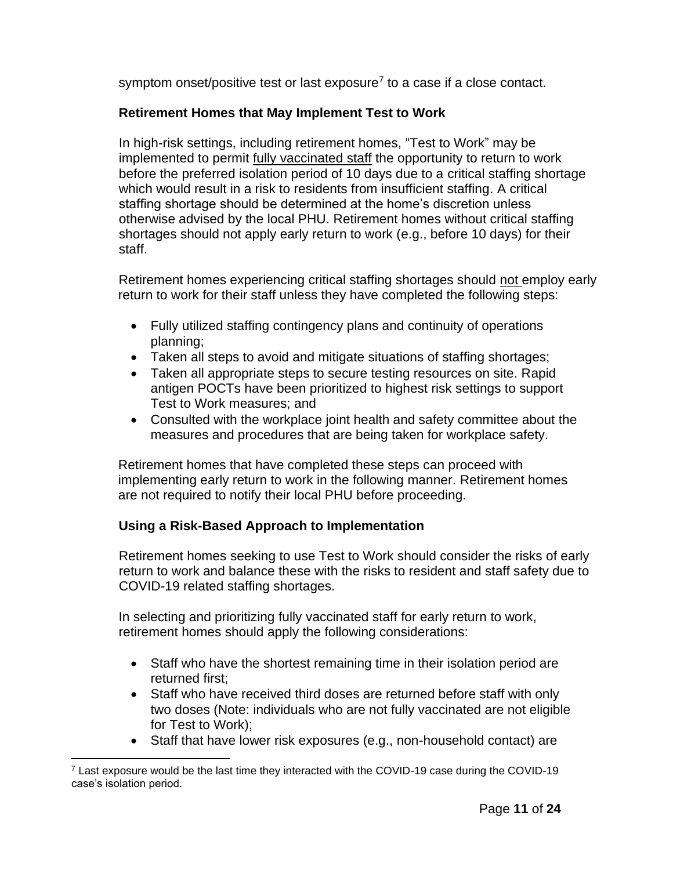symptom onset/positive test or last exposure<sup>7</sup> to a case if a close contact.

#### **Retirement Homes that May Implement Test to Work**

In high-risk settings, including retirement homes, "Test to Work" may be implemented to permit fully vaccinated staff the opportunity to return to work before the preferred isolation period of 10 days due to a critical staffing shortage which would result in a risk to residents from insufficient staffing. A critical staffing shortage should be determined at the home's discretion unless otherwise advised by the local PHU. Retirement homes without critical staffing shortages should not apply early return to work (e.g., before 10 days) for their staff.

Retirement homes experiencing critical staffing shortages should not employ early return to work for their staff unless they have completed the following steps:

- Fully utilized staffing contingency plans and continuity of operations planning;
- Taken all steps to avoid and mitigate situations of staffing shortages;
- Taken all appropriate steps to secure testing resources on site. Rapid antigen POCTs have been prioritized to highest risk settings to support Test to Work measures; and
- Consulted with the workplace joint health and safety committee about the measures and procedures that are being taken for workplace safety.

Retirement homes that have completed these steps can proceed with implementing early return to work in the following manner. Retirement homes are not required to notify their local PHU before proceeding.

#### **Using a Risk-Based Approach to Implementation**

Retirement homes seeking to use Test to Work should consider the risks of early return to work and balance these with the risks to resident and staff safety due to COVID-19 related staffing shortages.

In selecting and prioritizing fully vaccinated staff for early return to work, retirement homes should apply the following considerations:

- Staff who have the shortest remaining time in their isolation period are returned first;
- Staff who have received third doses are returned before staff with only two doses (Note: individuals who are not fully vaccinated are not eligible for Test to Work);
- Staff that have lower risk exposures (e.g., non-household contact) are

 $7$  Last exposure would be the last time they interacted with the COVID-19 case during the COVID-19 case's isolation period.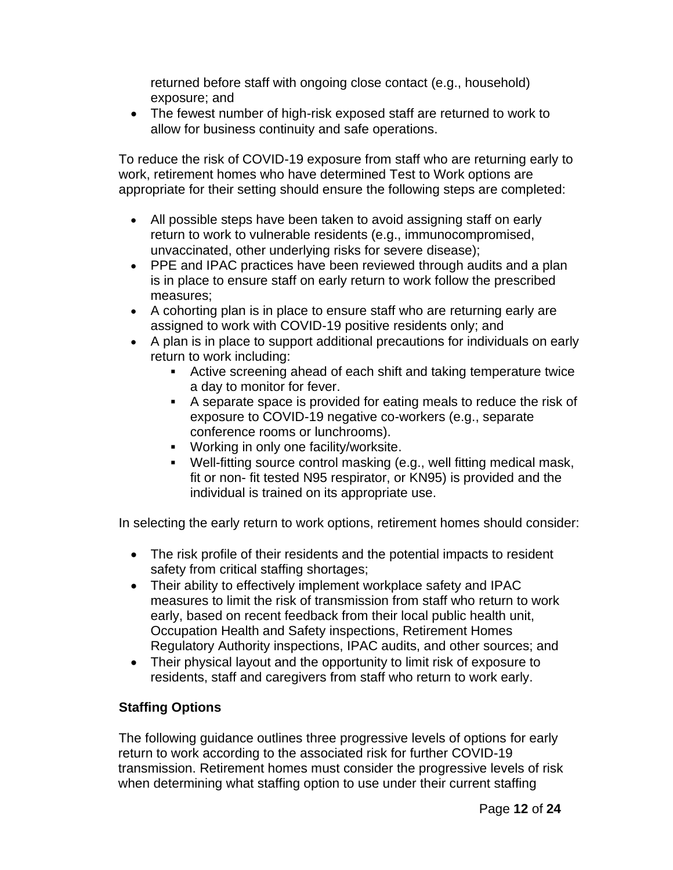returned before staff with ongoing close contact (e.g., household) exposure; and

• The fewest number of high-risk exposed staff are returned to work to allow for business continuity and safe operations.

To reduce the risk of COVID-19 exposure from staff who are returning early to work, retirement homes who have determined Test to Work options are appropriate for their setting should ensure the following steps are completed:

- All possible steps have been taken to avoid assigning staff on early return to work to vulnerable residents (e.g., immunocompromised, unvaccinated, other underlying risks for severe disease);
- PPE and IPAC practices have been reviewed through audits and a plan is in place to ensure staff on early return to work follow the prescribed measures;
- A cohorting plan is in place to ensure staff who are returning early are assigned to work with COVID-19 positive residents only; and
- A plan is in place to support additional precautions for individuals on early return to work including:
	- Active screening ahead of each shift and taking temperature twice a day to monitor for fever.
	- A separate space is provided for eating meals to reduce the risk of exposure to COVID-19 negative co-workers (e.g., separate conference rooms or lunchrooms).
	- Working in only one facility/worksite.
	- Well-fitting source control masking (e.g., well fitting medical mask, fit or non- fit tested N95 respirator, or KN95) is provided and the individual is trained on its appropriate use.

In selecting the early return to work options, retirement homes should consider:

- The risk profile of their residents and the potential impacts to resident safety from critical staffing shortages;
- Their ability to effectively implement workplace safety and IPAC measures to limit the risk of transmission from staff who return to work early, based on recent feedback from their local public health unit, Occupation Health and Safety inspections, Retirement Homes Regulatory Authority inspections, IPAC audits, and other sources; and
- Their physical layout and the opportunity to limit risk of exposure to residents, staff and caregivers from staff who return to work early.

#### **Staffing Options**

The following guidance outlines three progressive levels of options for early return to work according to the associated risk for further COVID-19 transmission. Retirement homes must consider the progressive levels of risk when determining what staffing option to use under their current staffing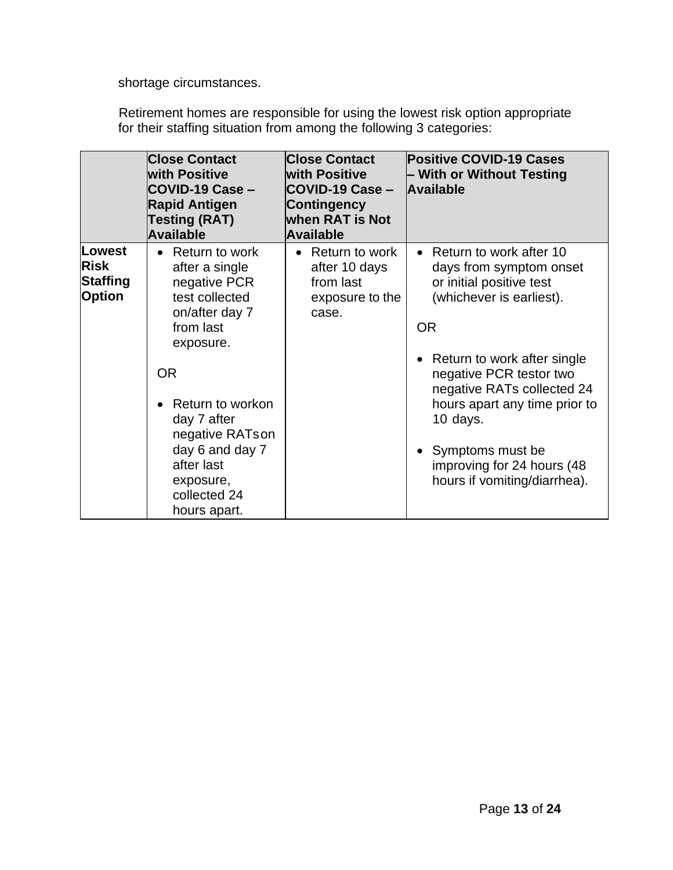shortage circumstances.

Retirement homes are responsible for using the lowest risk option appropriate for their staffing situation from among the following 3 categories:

|                                                    | <b>Close Contact</b><br><b>with Positive</b><br>COVID-19 Case -<br><b>Rapid Antigen</b><br><b>Testing (RAT)</b><br><b>Available</b>                                                                                                                                          | <b>Close Contact</b><br><b>with Positive</b><br>COVID-19 Case -<br><b>Contingency</b><br><b>when RAT is Not</b><br><b>Available</b> | <b>Positive COVID-19 Cases</b><br>– With or Without Testing<br><b>Available</b>                                                                                                                                                                                                                                                                    |
|----------------------------------------------------|------------------------------------------------------------------------------------------------------------------------------------------------------------------------------------------------------------------------------------------------------------------------------|-------------------------------------------------------------------------------------------------------------------------------------|----------------------------------------------------------------------------------------------------------------------------------------------------------------------------------------------------------------------------------------------------------------------------------------------------------------------------------------------------|
| Lowest<br><b>Risk</b><br>Staffing<br><b>Option</b> | Return to work<br>$\bullet$<br>after a single<br>negative PCR<br>test collected<br>on/after day 7<br>from last<br>exposure.<br><b>OR</b><br>Return to workon<br>day 7 after<br>negative RATson<br>day 6 and day 7<br>after last<br>exposure,<br>collected 24<br>hours apart. | Return to work<br>$\bullet$<br>after 10 days<br>from last<br>exposure to the<br>case.                                               | • Return to work after 10<br>days from symptom onset<br>or initial positive test<br>(whichever is earliest).<br><b>OR</b><br>• Return to work after single<br>negative PCR testor two<br>negative RATs collected 24<br>hours apart any time prior to<br>10 days.<br>Symptoms must be<br>improving for 24 hours (48<br>hours if vomiting/diarrhea). |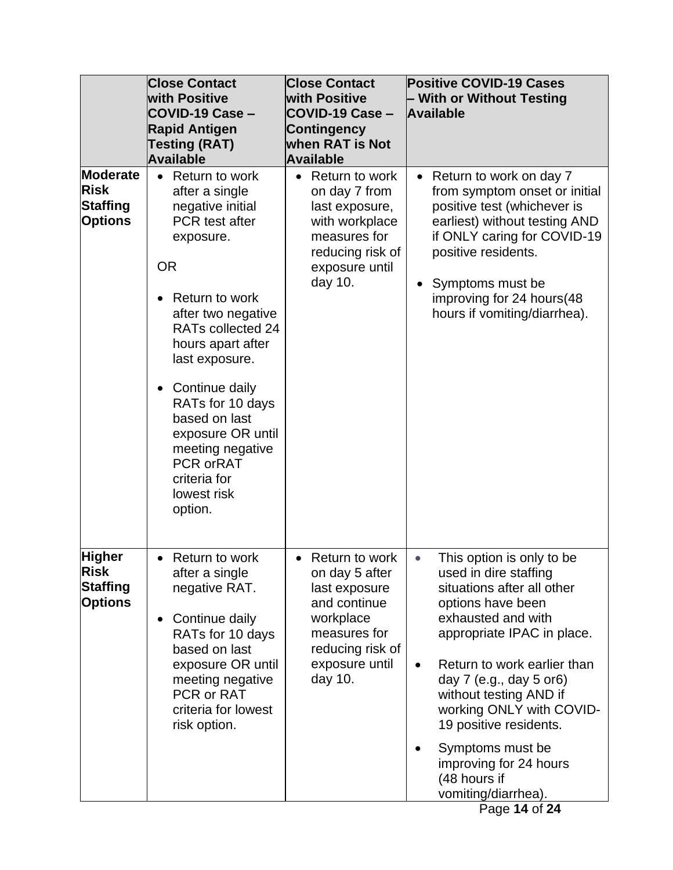|                                                              | <b>Close Contact</b><br><b>with Positive</b><br>COVID-19 Case -<br><b>Rapid Antigen</b><br><b>Testing (RAT)</b><br><b>Available</b>                                                                                                                                                                                                                                             | <b>Close Contact</b><br><b>with Positive</b><br>COVID-19 Case -<br><b>Contingency</b><br>when RAT is Not<br><b>Available</b>                                 | <b>Positive COVID-19 Cases</b><br>- With or Without Testing<br>Available                                                                                                                                                                                                                                                                                                                                                            |
|--------------------------------------------------------------|---------------------------------------------------------------------------------------------------------------------------------------------------------------------------------------------------------------------------------------------------------------------------------------------------------------------------------------------------------------------------------|--------------------------------------------------------------------------------------------------------------------------------------------------------------|-------------------------------------------------------------------------------------------------------------------------------------------------------------------------------------------------------------------------------------------------------------------------------------------------------------------------------------------------------------------------------------------------------------------------------------|
| Moderate<br><b>Risk</b><br><b>Staffing</b><br><b>Options</b> | Return to work<br>$\bullet$<br>after a single<br>negative initial<br>PCR test after<br>exposure.<br><b>OR</b><br>Return to work<br>after two negative<br>RATs collected 24<br>hours apart after<br>last exposure.<br>Continue daily<br>RATs for 10 days<br>based on last<br>exposure OR until<br>meeting negative<br><b>PCR orRAT</b><br>criteria for<br>lowest risk<br>option. | Return to work<br>$\bullet$<br>on day 7 from<br>last exposure,<br>with workplace<br>measures for<br>reducing risk of<br>exposure until<br>day 10.            | Return to work on day 7<br>$\bullet$<br>from symptom onset or initial<br>positive test (whichever is<br>earliest) without testing AND<br>if ONLY caring for COVID-19<br>positive residents.<br>Symptoms must be<br>improving for 24 hours (48<br>hours if vomiting/diarrhea).                                                                                                                                                       |
| <b>Higher</b><br>Risk<br><b>Staffing</b><br><b>Options</b>   | Return to work<br>$\bullet$<br>after a single<br>negative RAT.<br>Continue daily<br>$\bullet$<br>RATs for 10 days<br>based on last<br>exposure OR until<br>meeting negative<br>PCR or RAT<br>criteria for lowest<br>risk option.                                                                                                                                                | Return to work<br>$\bullet$<br>on day 5 after<br>last exposure<br>and continue<br>workplace<br>measures for<br>reducing risk of<br>exposure until<br>day 10. | This option is only to be<br>$\bullet$<br>used in dire staffing<br>situations after all other<br>options have been<br>exhausted and with<br>appropriate IPAC in place.<br>Return to work earlier than<br>$\bullet$<br>day 7 (e.g., day 5 or6)<br>without testing AND if<br>working ONLY with COVID-<br>19 positive residents.<br>Symptoms must be<br>improving for 24 hours<br>(48 hours if<br>vomiting/diarrhea).<br>Page 14 of 24 |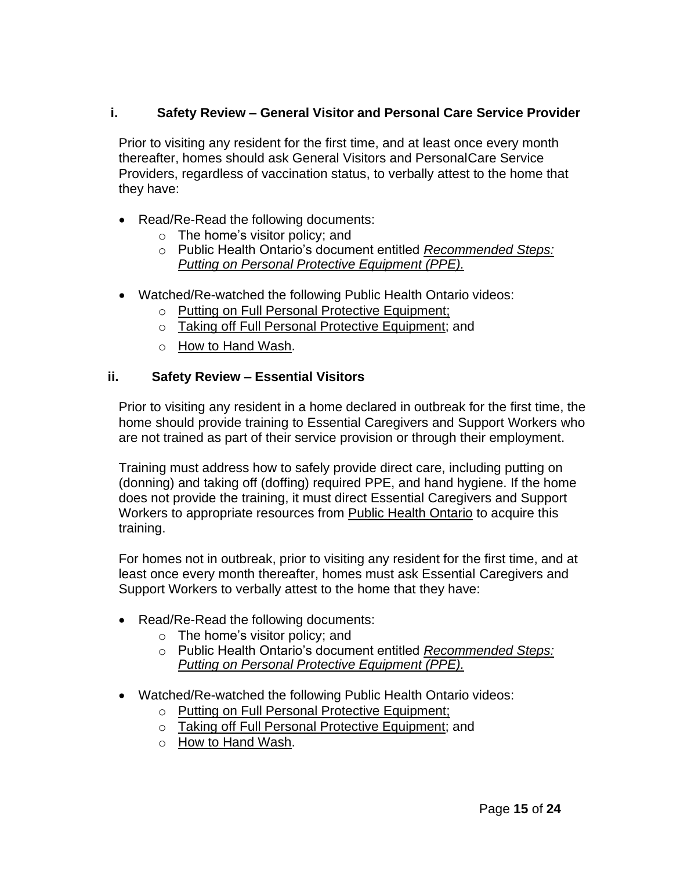#### **i. Safety Review – General Visitor and Personal Care Service Provider**

Prior to visiting any resident for the first time, and at least once every month thereafter, homes should ask General Visitors and PersonalCare Service Providers, regardless of vaccination status, to verbally attest to the home that they have:

- Read/Re-Read the following documents:
	- $\circ$  The home's visitor policy; and
	- o Public Health Ontario's document entitled *[Recommended Steps:](https://www.publichealthontario.ca/-/media/documents/ncov/ipac/ppe-recommended-steps.pdf?la=en) Putting [on Personal](https://www.publichealthontario.ca/-/media/documents/ncov/ipac/ppe-recommended-steps.pdf?la=en) Protective Equipment (PPE).*
- Watched/Re-watched the following Public Health Ontario videos:
	- o Putting on Full Personal Protective [Equipment;](https://www.publichealthontario.ca/en/videos/ipac-fullppe-on)
	- o Taking off Full Personal Protective [Equipment;](https://www.publichealthontario.ca/en/videos/ipac-maskeyes-off) and
	- o How [to Hand](https://www.publichealthontario.ca/en/health-topics/infection-prevention-control/hand-hygiene/jcyh-videos) Wash.

#### **ii. Safety Review – Essential Visitors**

Prior to visiting any resident in a home declared in outbreak for the first time, the home should provide training to Essential Caregivers and Support Workers who are not trained as part of their service provision or through their employment.

Training must address how to safely provide direct care, including putting on (donning) and taking off (doffing) required PPE, and hand hygiene. If the home does not provide the training, it must direct Essential Caregivers and Support Workers to appropriate resources from [Public Health Ontario](https://www.publichealthontario.ca/en/education-and-events/online-learning/ipac-fundamentals) to acquire this training.

For homes not in outbreak, prior to visiting any resident for the first time, and at least once every month thereafter, homes must ask Essential Caregivers and Support Workers to verbally attest to the home that they have:

- Read/Re-Read the following documents:
	- $\circ$  The home's visitor policy; and
	- o Public Health Ontario's document entitled *[Recommended Steps:](https://www.publichealthontario.ca/-/media/documents/ncov/ipac/ppe-recommended-steps.pdf?la=en) Putting [on Personal](https://www.publichealthontario.ca/-/media/documents/ncov/ipac/ppe-recommended-steps.pdf?la=en) Protective Equipment (PPE).*
- Watched/Re-watched the following Public Health Ontario videos:
	- o Putting on Full Personal Protective [Equipment;](https://www.publichealthontario.ca/en/videos/ipac-fullppe-on)
	- o Taking off Full Personal Protective [Equipment;](https://www.publichealthontario.ca/en/videos/ipac-maskeyes-off) and
	- o How [to Hand](https://www.publichealthontario.ca/en/health-topics/infection-prevention-control/hand-hygiene/jcyh-videos) Wash.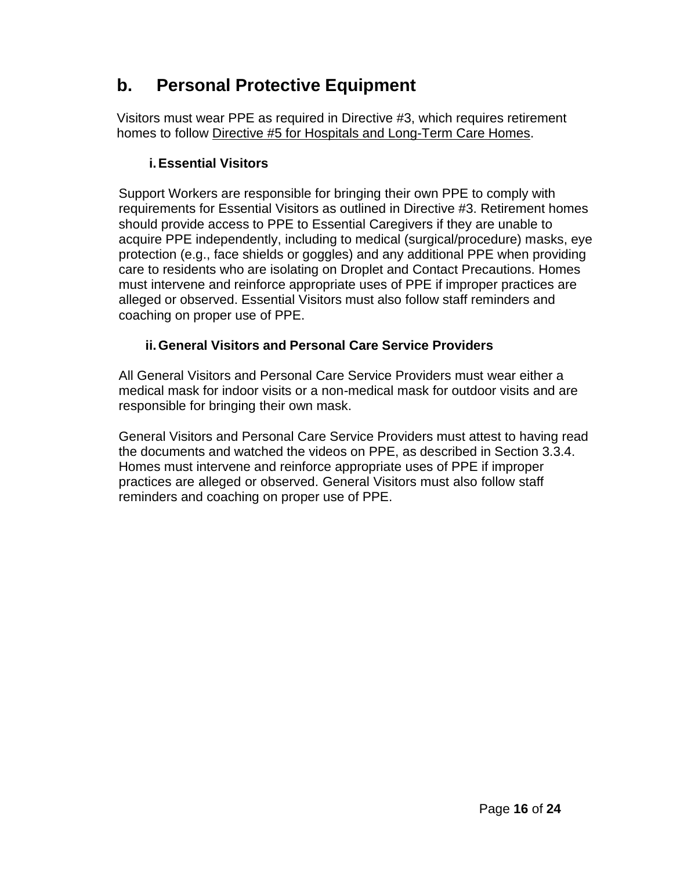## **b. Personal Protective Equipment**

Visitors must wear PPE as required in Directive #3, which requires retirement homes to follow Directive #5 for Hospitals and [Long-Term Care Homes.](https://www.health.gov.on.ca/en/pro/programs/publichealth/coronavirus/docs/directives/public_hospitals_act.pdf)

#### **i.Essential Visitors**

Support Workers are responsible for bringing their own PPE to comply with requirements for Essential Visitors as outlined in Directive #3. Retirement homes should provide access to PPE to Essential Caregivers if they are unable to acquire PPE independently, including to medical (surgical/procedure) masks, eye protection (e.g., face shields or goggles) and any additional PPE when providing care to residents who are isolating on Droplet and Contact Precautions. Homes must intervene and reinforce appropriate uses of PPE if improper practices are alleged or observed. Essential Visitors must also follow staff reminders and coaching on proper use of PPE.

#### **ii.General Visitors and Personal Care Service Providers**

All General Visitors and Personal Care Service Providers must wear either a medical mask for indoor visits or a non-medical mask for outdoor visits and are responsible for bringing their own mask.

General Visitors and Personal Care Service Providers must attest to having read the documents and watched the videos on PPE, as described in Section 3.3.4. Homes must intervene and reinforce appropriate uses of PPE if improper practices are alleged or observed. General Visitors must also follow staff reminders and coaching on proper use of PPE.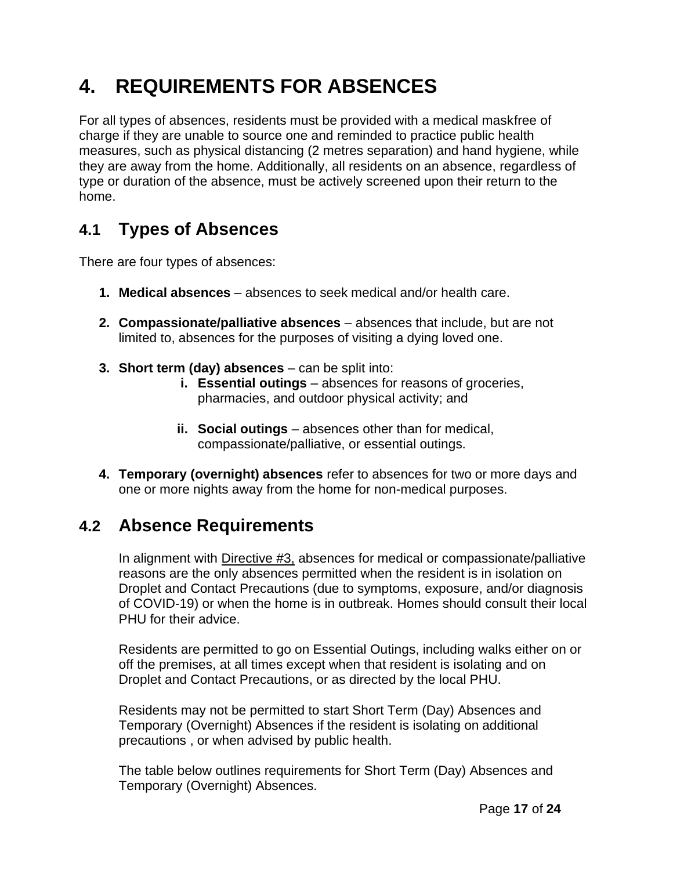# **4. REQUIREMENTS FOR ABSENCES**

For all types of absences, residents must be provided with a medical maskfree of charge if they are unable to source one and reminded to practice public health measures, such as physical distancing (2 metres separation) and hand hygiene, while they are away from the home. Additionally, all residents on an absence, regardless of type or duration of the absence, must be actively screened upon their return to the home.

## **4.1 Types of Absences**

There are four types of absences:

- **1. Medical absences**  absences to seek medical and/or health care.
- **2. Compassionate/palliative absences**  absences that include, but are not limited to, absences for the purposes of visiting a dying loved one.
- **3. Short term (day) absences**  can be split into:
	- **i. Essential outings** absences for reasons of groceries, pharmacies, and outdoor physical activity; and
	- **ii.** Social outings absences other than for medical, compassionate/palliative, or essential outings.
- **4. Temporary (overnight) absences** refer to absences for two or more days and one or more nights away from the home for non-medical purposes.

### **4.2 Absence Requirements**

In alignment with [Directive #3,](https://www.health.gov.on.ca/en/pro/programs/publichealth/coronavirus/docs/directives/LTCH_HPPA.pdf) absences for medical or compassionate/palliative reasons are the only absences permitted when the resident is in isolation on Droplet and Contact Precautions (due to symptoms, exposure, and/or diagnosis of COVID-19) or when the home is in outbreak. Homes should consult their local PHU for their advice.

Residents are permitted to go on Essential Outings, including walks either on or off the premises, at all times except when that resident is isolating and on Droplet and Contact Precautions, or as directed by the local PHU.

Residents may not be permitted to start Short Term (Day) Absences and Temporary (Overnight) Absences if the resident is isolating on additional precautions , or when advised by public health.

The table below outlines requirements for Short Term (Day) Absences and Temporary (Overnight) Absences.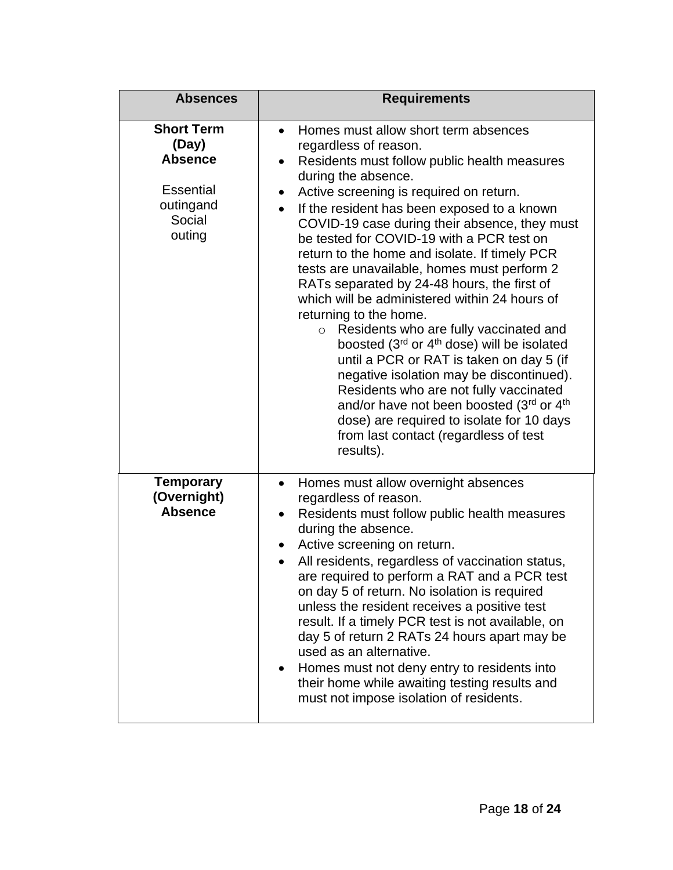| <b>Absences</b>                                                                                   | <b>Requirements</b>                                                                                                                                                                                                                                                                                                                                                                                                                                                                                                                                                                                                                                                                                                                                                                                                                                                                                                                                                                                |
|---------------------------------------------------------------------------------------------------|----------------------------------------------------------------------------------------------------------------------------------------------------------------------------------------------------------------------------------------------------------------------------------------------------------------------------------------------------------------------------------------------------------------------------------------------------------------------------------------------------------------------------------------------------------------------------------------------------------------------------------------------------------------------------------------------------------------------------------------------------------------------------------------------------------------------------------------------------------------------------------------------------------------------------------------------------------------------------------------------------|
| <b>Short Term</b><br>(Day)<br><b>Absence</b><br><b>Essential</b><br>outingand<br>Social<br>outing | Homes must allow short term absences<br>$\bullet$<br>regardless of reason.<br>Residents must follow public health measures<br>$\bullet$<br>during the absence.<br>Active screening is required on return.<br>٠<br>If the resident has been exposed to a known<br>$\bullet$<br>COVID-19 case during their absence, they must<br>be tested for COVID-19 with a PCR test on<br>return to the home and isolate. If timely PCR<br>tests are unavailable, homes must perform 2<br>RATs separated by 24-48 hours, the first of<br>which will be administered within 24 hours of<br>returning to the home.<br>Residents who are fully vaccinated and<br>$\circ$<br>boosted (3rd or 4 <sup>th</sup> dose) will be isolated<br>until a PCR or RAT is taken on day 5 (if<br>negative isolation may be discontinued).<br>Residents who are not fully vaccinated<br>and/or have not been boosted (3rd or 4th<br>dose) are required to isolate for 10 days<br>from last contact (regardless of test<br>results). |
| <b>Temporary</b><br>(Overnight)<br><b>Absence</b>                                                 | Homes must allow overnight absences<br>$\bullet$<br>regardless of reason.<br>Residents must follow public health measures<br>$\bullet$<br>during the absence.<br>Active screening on return.<br>$\bullet$<br>All residents, regardless of vaccination status,<br>are required to perform a RAT and a PCR test<br>on day 5 of return. No isolation is required<br>unless the resident receives a positive test<br>result. If a timely PCR test is not available, on<br>day 5 of return 2 RATs 24 hours apart may be<br>used as an alternative.<br>Homes must not deny entry to residents into<br>$\bullet$<br>their home while awaiting testing results and<br>must not impose isolation of residents.                                                                                                                                                                                                                                                                                              |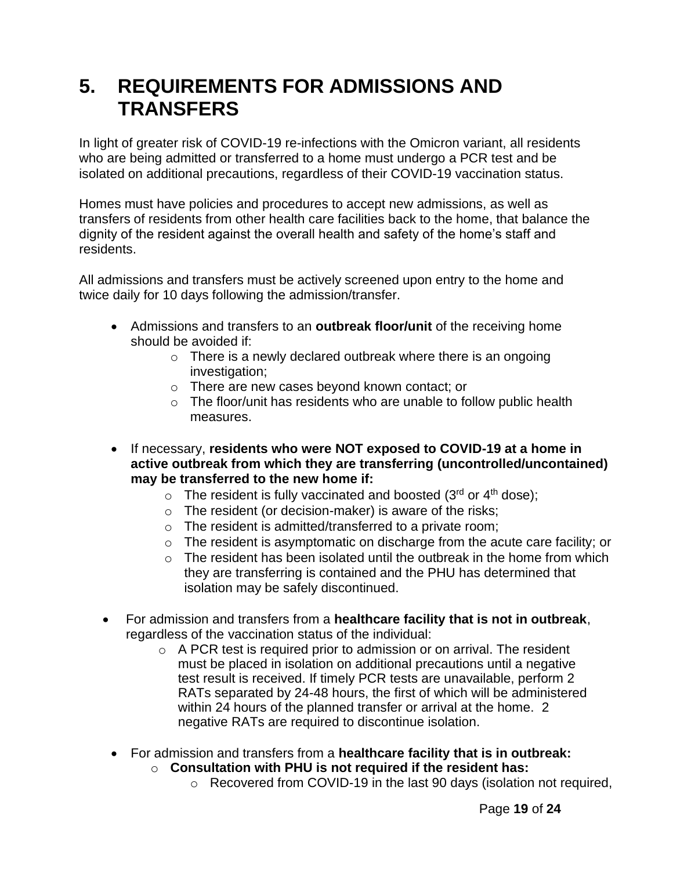## **5. REQUIREMENTS FOR ADMISSIONS AND TRANSFERS**

In light of greater risk of COVID-19 re-infections with the Omicron variant, all residents who are being admitted or transferred to a home must undergo a PCR test and be isolated on additional precautions, regardless of their COVID-19 vaccination status.

Homes must have policies and procedures to accept new admissions, as well as transfers of residents from other health care facilities back to the home, that balance the dignity of the resident against the overall health and safety of the home's staff and residents.

All admissions and transfers must be actively screened upon entry to the home and twice daily for 10 days following the admission/transfer.

- Admissions and transfers to an **outbreak floor/unit** of the receiving home should be avoided if:
	- $\circ$  There is a newly declared outbreak where there is an ongoing investigation;
	- o There are new cases beyond known contact; or
	- $\circ$  The floor/unit has residents who are unable to follow public health measures.
- If necessary, **residents who were NOT exposed to COVID-19 at a home in active outbreak from which they are transferring (uncontrolled/uncontained) may be transferred to the new home if:**
	- $\circ$  The resident is fully vaccinated and boosted (3<sup>rd</sup> or 4<sup>th</sup> dose);
	- o The resident (or decision-maker) is aware of the risks;
	- o The resident is admitted/transferred to a private room;
	- o The resident is asymptomatic on discharge from the acute care facility; or
	- $\circ$  The resident has been isolated until the outbreak in the home from which they are transferring is contained and the PHU has determined that isolation may be safely discontinued.
- For admission and transfers from a **healthcare facility that is not in outbreak**, regardless of the vaccination status of the individual:
	- $\circ$  A PCR test is required prior to admission or on arrival. The resident must be placed in isolation on additional precautions until a negative test result is received. If timely PCR tests are unavailable, perform 2 RATs separated by 24-48 hours, the first of which will be administered within 24 hours of the planned transfer or arrival at the home. 2 negative RATs are required to discontinue isolation.
	- For admission and transfers from a **healthcare facility that is in outbreak:**
		- o **Consultation with PHU is not required if the resident has:**
			- o Recovered from COVID-19 in the last 90 days (isolation not required,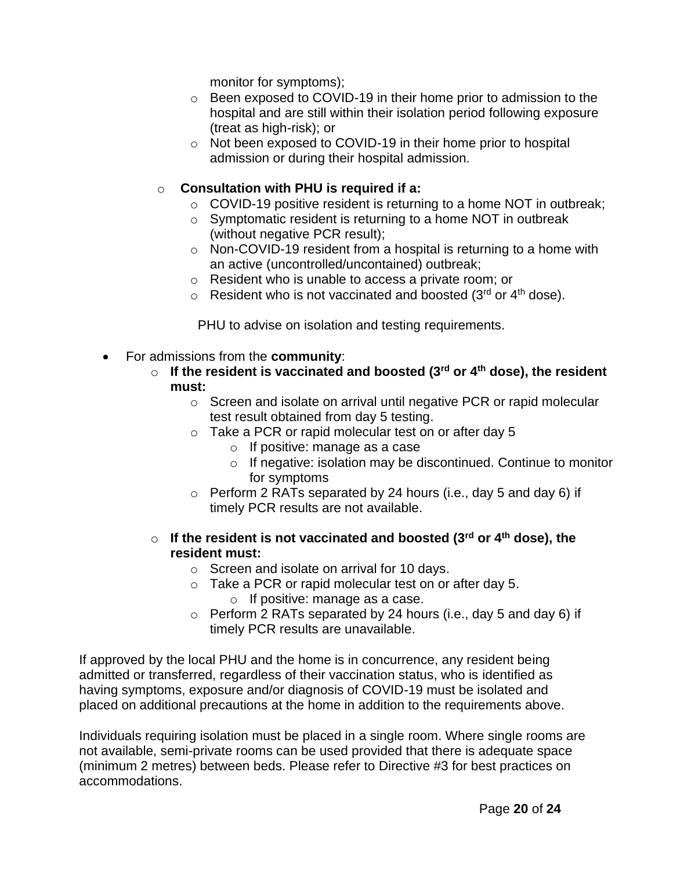monitor for symptoms);

- o Been exposed to COVID-19 in their home prior to admission to the hospital and are still within their isolation period following exposure (treat as high-risk); or
- o Not been exposed to COVID-19 in their home prior to hospital admission or during their hospital admission.

#### o **Consultation with PHU is required if a:**

- o COVID-19 positive resident is returning to a home NOT in outbreak;
- o Symptomatic resident is returning to a home NOT in outbreak (without negative PCR result);
- o Non-COVID-19 resident from a hospital is returning to a home with an active (uncontrolled/uncontained) outbreak;
- o Resident who is unable to access a private room; or
- $\circ$  Resident who is not vaccinated and boosted (3<sup>rd</sup> or 4<sup>th</sup> dose).

PHU to advise on isolation and testing requirements.

- For admissions from the **community**:
	- o **If the resident is vaccinated and boosted (3rd or 4th dose), the resident must:**
		- o Screen and isolate on arrival until negative PCR or rapid molecular test result obtained from day 5 testing.
		- o Take a PCR or rapid molecular test on or after day 5
			- o If positive: manage as a case
			- o If negative: isolation may be discontinued. Continue to monitor for symptoms
		- $\circ$  Perform 2 RATs separated by 24 hours (i.e., day 5 and day 6) if timely PCR results are not available.
	- o **If the resident is not vaccinated and boosted (3rd or 4th dose), the resident must:**
		- o Screen and isolate on arrival for 10 days.
		- o Take a PCR or rapid molecular test on or after day 5. o If positive: manage as a case.
		- $\circ$  Perform 2 RATs separated by 24 hours (i.e., day 5 and day 6) if timely PCR results are unavailable.

If approved by the local PHU and the home is in concurrence, any resident being admitted or transferred, regardless of their vaccination status, who is identified as having symptoms, exposure and/or diagnosis of COVID-19 must be isolated and placed on additional precautions at the home in addition to the requirements above.

Individuals requiring isolation must be placed in a single room. Where single rooms are not available, semi-private rooms can be used provided that there is adequate space (minimum 2 metres) between beds. Please refer to Directive #3 for best practices on accommodations.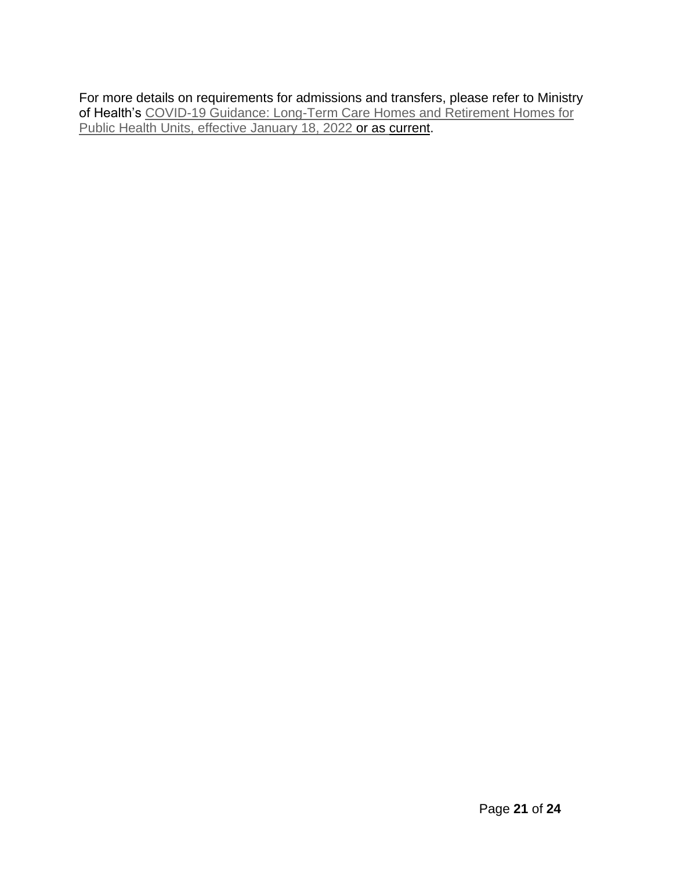For more details on requirements for admissions and transfers, please refer to Ministry of Health's [COVID-19 Guidance: Long-Term Care Homes and Retirement Homes for](https://www.health.gov.on.ca/en/pro/programs/publichealth/coronavirus/docs/2019_LTC_homes_retirement_homes_for_PHUs_guidance.pdf) Public [Health Units,](https://www.health.gov.on.ca/en/pro/programs/publichealth/coronavirus/docs/2019_LTC_homes_retirement_homes_for_PHUs_guidance.pdf) effective January 18, 2022 or as [current.](https://www.health.gov.on.ca/en/pro/programs/publichealth/coronavirus/docs/2019_LTC_homes_retirement_homes_for_PHUs_guidance.pdf)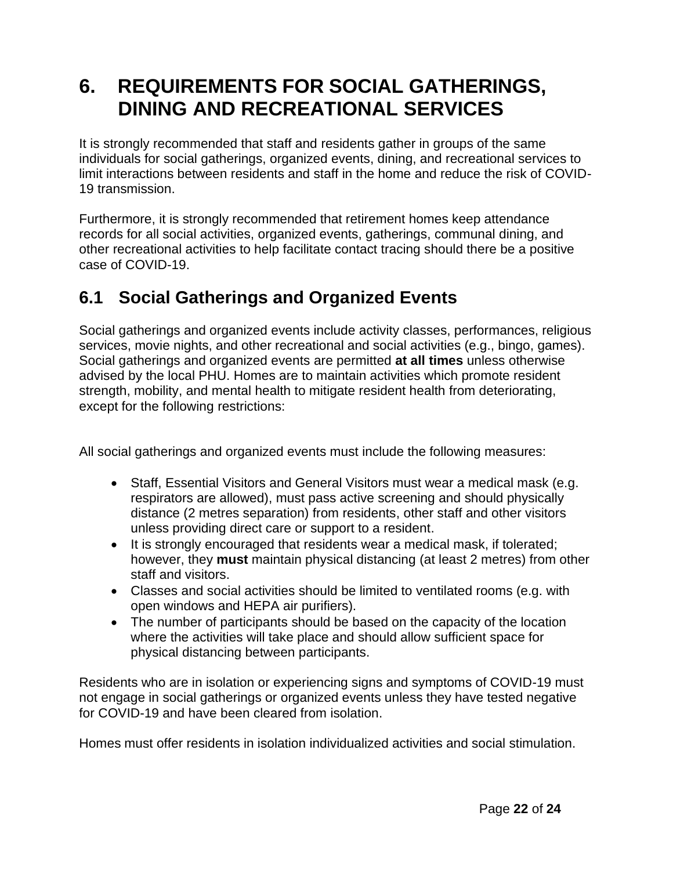## **6. REQUIREMENTS FOR SOCIAL GATHERINGS, DINING AND RECREATIONAL SERVICES**

It is strongly recommended that staff and residents gather in groups of the same individuals for social gatherings, organized events, dining, and recreational services to limit interactions between residents and staff in the home and reduce the risk of COVID-19 transmission.

Furthermore, it is strongly recommended that retirement homes keep attendance records for all social activities, organized events, gatherings, communal dining, and other recreational activities to help facilitate contact tracing should there be a positive case of COVID-19.

## **6.1 Social Gatherings and Organized Events**

Social gatherings and organized events include activity classes, performances, religious services, movie nights, and other recreational and social activities (e.g., bingo, games). Social gatherings and organized events are permitted **at all times** unless otherwise advised by the local PHU. Homes are to maintain activities which promote resident strength, mobility, and mental health to mitigate resident health from deteriorating, except for the following restrictions:

All social gatherings and organized events must include the following measures:

- Staff, Essential Visitors and General Visitors must wear a medical mask (e.g. respirators are allowed), must pass active screening and should physically distance (2 metres separation) from residents, other staff and other visitors unless providing direct care or support to a resident.
- It is strongly encouraged that residents wear a medical mask, if tolerated; however, they **must** maintain physical distancing (at least 2 metres) from other staff and visitors.
- Classes and social activities should be limited to ventilated rooms (e.g. with open windows and HEPA air purifiers).
- The number of participants should be based on the capacity of the location where the activities will take place and should allow sufficient space for physical distancing between participants.

Residents who are in isolation or experiencing signs and symptoms of COVID-19 must not engage in social gatherings or organized events unless they have tested negative for COVID-19 and have been cleared from isolation.

Homes must offer residents in isolation individualized activities and social stimulation.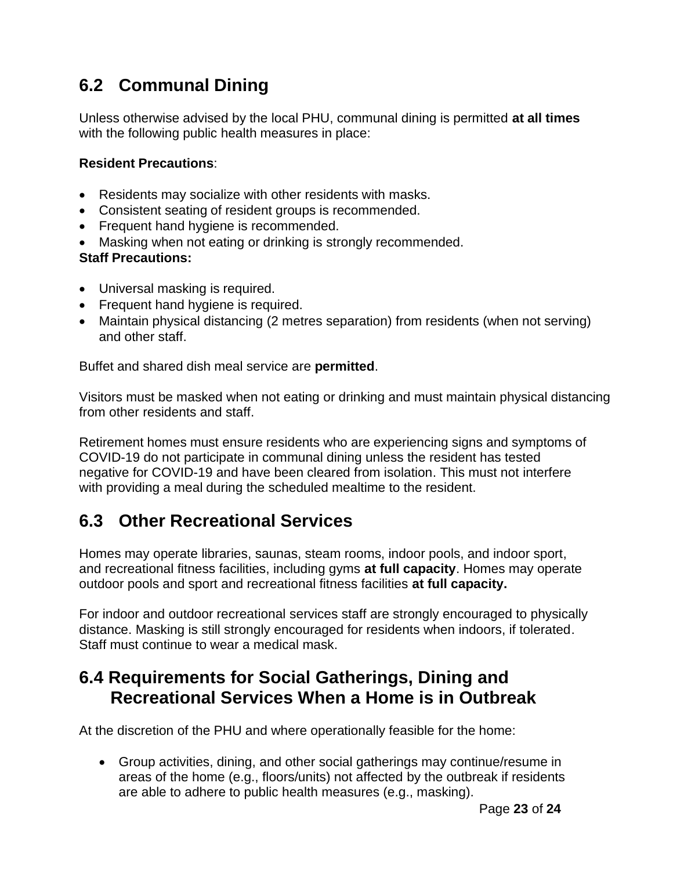## **6.2 Communal Dining**

Unless otherwise advised by the local PHU, communal dining is permitted **at all times** with the following public health measures in place:

#### **Resident Precautions**:

- Residents may socialize with other residents with masks.
- Consistent seating of resident groups is recommended.
- Frequent hand hygiene is recommended.
- Masking when not eating or drinking is strongly recommended.

#### **Staff Precautions:**

- Universal masking is required.
- Frequent hand hygiene is required.
- Maintain physical distancing (2 metres separation) from residents (when not serving) and other staff.

Buffet and shared dish meal service are **permitted**.

Visitors must be masked when not eating or drinking and must maintain physical distancing from other residents and staff.

Retirement homes must ensure residents who are experiencing signs and symptoms of COVID-19 do not participate in communal dining unless the resident has tested negative for COVID-19 and have been cleared from isolation. This must not interfere with providing a meal during the scheduled mealtime to the resident.

## **6.3 Other Recreational Services**

Homes may operate libraries, saunas, steam rooms, indoor pools, and indoor sport, and recreational fitness facilities, including gyms **at full capacity**. Homes may operate outdoor pools and sport and recreational fitness facilities **at full capacity.**

For indoor and outdoor recreational services staff are strongly encouraged to physically distance. Masking is still strongly encouraged for residents when indoors, if tolerated. Staff must continue to wear a medical mask.

### **6.4 Requirements for Social Gatherings, Dining and Recreational Services When a Home is in Outbreak**

At the discretion of the PHU and where operationally feasible for the home:

• Group activities, dining, and other social gatherings may continue/resume in areas of the home (e.g., floors/units) not affected by the outbreak if residents are able to adhere to public health measures (e.g., masking).